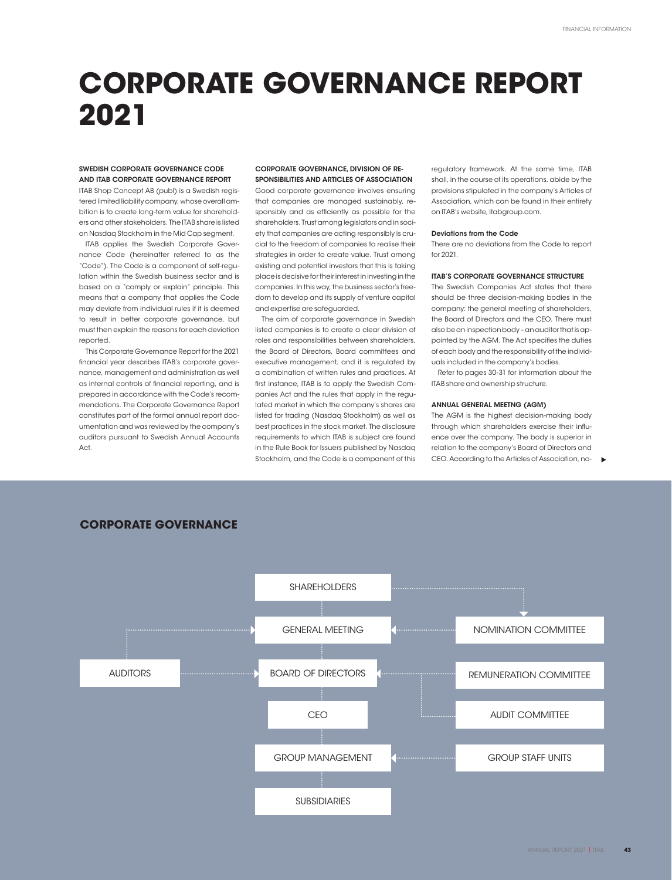# **CORPORATE GOVERNANCE REPORT 2021**

## SWEDISH CORPORATE GOVERNANCE CODE AND ITAB CORPORATE GOVERNANCE REPORT

ITAB Shop Concept AB (publ) is a Swedish registered limited liability company, whose overall ambition is to create long-term value for shareholders and other stakeholders. The ITAB share is listed on Nasdaq Stockholm in the Mid Cap segment.

ITAB applies the Swedish Corporate Governance Code (hereinafter referred to as the "Code"). The Code is a component of self-regulation within the Swedish business sector and is based on a "comply or explain" principle. This means that a company that applies the Code may deviate from individual rules if it is deemed to result in better corporate governance, but must then explain the reasons for each deviation reported.

This Corporate Governance Report for the 2021 financial year describes ITAB's corporate governance, management and administration as well as internal controls of financial reporting, and is prepared in accordance with the Code's recommendations. The Corporate Governance Report constitutes part of the formal annual report documentation and was reviewed by the company's auditors pursuant to Swedish Annual Accounts  $\Delta$ ct

## COPPORATE GOVERNANCE, DIVISION OF RE-SPONSIBILITIES AND ARTICLES OF ASSOCIATION

Good corporate governance involves ensuring that companies are managed sustainably, responsibly and as efficiently as possible for the shareholders. Trust among legislators and in society that companies are acting responsibly is crucial to the freedom of companies to realise their strategies in order to create value. Trust among existing and potential investors that this is taking place is decisive for their interest in investing in the companies. In this way, the business sector's freedom to develop and its supply of venture capital and expertise are safeguarded.

The aim of corporate governance in Swedish listed companies is to create a clear division of roles and responsibilities between shareholders, the Board of Directors, Board committees and executive management, and it is regulated by a combination of written rules and practices. At first instance, ITAB is to apply the Swedish Companies Act and the rules that apply in the regulated market in which the company's shares are listed for trading (Nasdaq Stockholm) as well as best practices in the stock market. The disclosure requirements to which ITAB is subject are found in the Rule Book for Issuers published by Nasdaq Stockholm, and the Code is a component of this

regulatory framework. At the same time, ITAB shall, in the course of its operations, abide by the provisions stipulated in the company's Articles of Association, which can be found in their entirety on ITAB's website, itabgroup.com.

## Deviations from the Code

There are no deviations from the Code to report for 2021.

# ITAB'S CORPORATE GOVERNANCE STRUCTURE

The Swedish Companies Act states that there should be three decision-making bodies in the company: the general meeting of shareholders, the Board of Directors and the CEO. There must also be an inspection body – an auditor that is appointed by the AGM. The Act specifies the duties of each body and the responsibility of the individuals included in the company's bodies.

Refer to pages 30-31 for information about the ITAB share and ownership structure.

## ANNUAL GENERAL MEETNG (AGM)

The AGM is the highest decision-making body through which shareholders exercise their influence over the company. The body is superior in relation to the company's Board of Directors and CEO. According to the Articles of Association, no- $\blacksquare$ 



# **CORPORATE GOVERNANCE**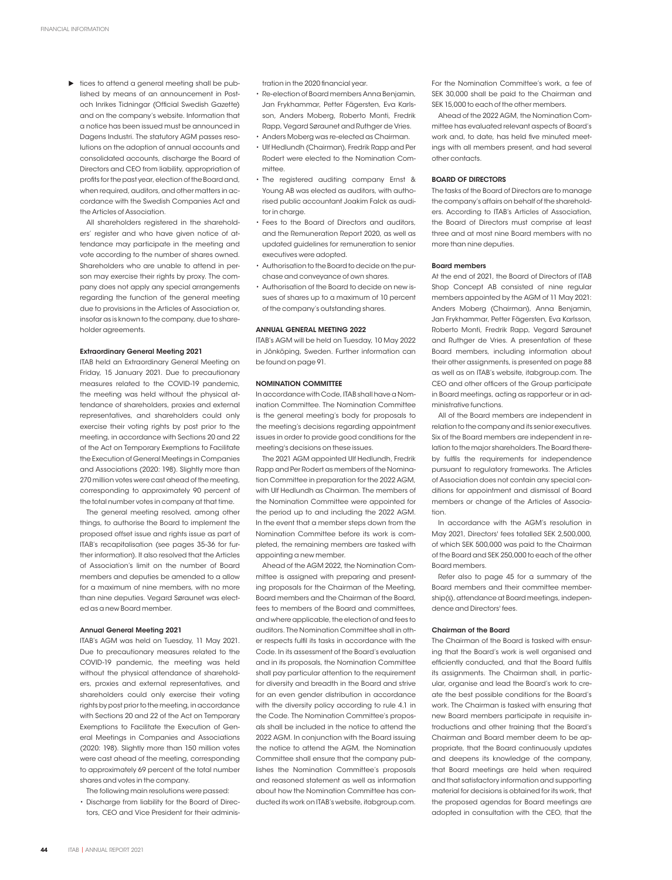$\blacktriangleright$  tices to attend a general meeting shall be published by means of an announcement in Postoch Inrikes Tidningar (Official Swedish Gazette) and on the company's website. Information that a notice has been issued must be announced in Dagens Industri. The statutory AGM passes resolutions on the adoption of annual accounts and consolidated accounts, discharge the Board of Directors and CEO from liability, appropriation of profits for the past year, election of the Board and, when required, auditors, and other matters in accordance with the Swedish Companies Act and the Articles of Association.

All shareholders registered in the shareholders' register and who have given notice of attendance may participate in the meeting and vote according to the number of shares owned. Shareholders who are unable to attend in person may exercise their rights by proxy. The company does not apply any special arrangements regarding the function of the general meeting due to provisions in the Articles of Association or, insofar as is known to the company, due to shareholder agreements.

# Extraordinary General Meeting 2021

ITAB held an Extraordinary General Meeting on Friday, 15 January 2021. Due to precautionary measures related to the COVID-19 pandemic, the meeting was held without the physical attendance of shareholders, proxies and external representatives, and shareholders could only exercise their voting rights by post prior to the meeting, in accordance with Sections 20 and 22 of the Act on Temporary Exemptions to Facilitate the Execution of General Meetings in Companies and Associations (2020: 198). Slightly more than 270 million votes were cast ahead of the meeting, corresponding to approximately 90 percent of the total number votes in company at that time.

The general meeting resolved, among other things, to authorise the Board to implement the proposed offset issue and rights issue as part of ITAB's recapitalisation (see pages 35-36 for further information). It also resolved that the Articles of Association's limit on the number of Board members and deputies be amended to a allow for a maximum of nine members, with no more than nine deputies. Vegard Søraunet was elected as a new Board member.

## Annual General Meeting 2021

ITAB's AGM was held on Tuesday, 11 May 2021. Due to precautionary measures related to the COVID-19 pandemic, the meeting was held without the physical attendance of shareholders, proxies and external representatives, and shareholders could only exercise their voting rights by post prior to the meeting, in accordance with Sections 20 and 22 of the Act on Temporary Exemptions to Facilitate the Execution of General Meetings in Companies and Associations (2020: 198). Slightly more than 150 million votes were cast ahead of the meeting, corresponding to approximately 69 percent of the total number shares and votes in the company.

The following main resolutions were passed: • Discharge from liability for the Board of Direc-

tors, CEO and Vice President for their adminis-

tration in the 2020 financial year.

- Re-election of Board members Anna Benjamin, Jan Frykhammar, Petter Fägersten, Eva Karlsson, Anders Moberg, Roberto Monti, Fredrik Rapp, Vegard Søraunet and Ruthger de Vries.
- Anders Moberg was re-elected as Chairman.
- Ulf Hedlundh (Chairman), Fredrik Rapp and Per Rodert were elected to the Nomination Committee.
- The registered auditing company Ernst & Young AB was elected as auditors, with authorised public accountant Joakim Falck as auditor in charge.
- Fees to the Board of Directors and auditors, and the Remuneration Report 2020, as well as updated guidelines for remuneration to senior executives were adopted.
- Authorisation to the Board to decide on the purchase and conveyance of own shares.
- Authorisation of the Board to decide on new issues of shares up to a maximum of 10 percent of the company's outstanding shares.

## ANNUAL GENERAL MEETING 2022

ITAB's AGM will be held on Tuesday, 10 May 2022 in Jönköping, Sweden. Further information can be found on page 91.

# NOMINATION COMMITTEE

In accordance with Code, ITAB shall have a Nomination Committee. The Nomination Committee is the general meeting's body for proposals to the meeting's decisions regarding appointment issues in order to provide good conditions for the meeting's decisions on these issues.

The 2021 AGM appointed Ulf Hedlundh, Fredrik Rapp and Per Rodert as members of the Nomination Committee in preparation for the 2022 AGM, with Ulf Hedlundh as Chairman. The members of the Nomination Committee were appointed for the period up to and including the 2022 AGM. In the event that a member steps down from the Nomination Committee before its work is completed, the remaining members are tasked with appointing a new member.

Ahead of the AGM 2022, the Nomination Committee is assigned with preparing and presenting proposals for the Chairman of the Meeting, Board members and the Chairman of the Board, fees to members of the Board and committees, and where applicable, the election of and fees to auditors. The Nomination Committee shall in other respects fulfil its tasks in accordance with the Code. In its assessment of the Board's evaluation and in its proposals, the Nomination Committee shall pay particular attention to the requirement for diversity and breadth in the Board and strive for an even gender distribution in accordance with the diversity policy according to rule 4.1 in the Code. The Nomination Committee's proposals shall be included in the notice to attend the 2022 AGM. In conjunction with the Board issuing the notice to attend the AGM, the Nomination Committee shall ensure that the company publishes the Nomination Committee's proposals and reasoned statement as well as information about how the Nomination Committee has conducted its work on ITAB's website, itabgroup.com.

For the Nomination Committee's work, a fee of SEK 30,000 shall be paid to the Chairman and SEK 15,000 to each of the other members.

Ahead of the 2022 AGM, the Nomination Committee has evaluated relevant aspects of Board's work and, to date, has held five minuted meetings with all members present, and had several other contacts.

## BOARD OF DIRECTORS

The tasks of the Board of Directors are to manage the company's affairs on behalf of the shareholders. According to ITAB's Articles of Association, the Board of Directors must comprise at least three and at most nine Board members with no more than nine deputies.

### Board members

At the end of 2021, the Board of Directors of ITAB Shop Concept AB consisted of nine regular members appointed by the AGM of 11 May 2021: Anders Moberg (Chairman), Anna Benjamin, Jan Frykhammar, Petter Fägersten, Eva Karlsson, Roberto Monti, Fredrik Rapp, Vegard Søraunet and Ruthger de Vries. A presentation of these Board members, including information about their other assignments, is presented on page 88 as well as on ITAB's website, itabgroup.com. The CEO and other officers of the Group participate in Board meetings, acting as rapporteur or in administrative functions.

All of the Board members are independent in relation to the company and its senior executives. Six of the Board members are independent in relation to the major shareholders. The Board thereby fulfils the requirements for independence pursuant to regulatory frameworks. The Articles of Association does not contain any special conditions for appointment and dismissal of Board members or change of the Articles of Association.

In accordance with the AGM's resolution in May 2021, Directors' fees totalled SEK 2,500,000, of which SEK 500,000 was paid to the Chairman of the Board and SEK 250,000 to each of the other Board members.

Refer also to page 45 for a summary of the Board members and their committee membership(s), attendance at Board meetings, independence and Directors' fees.

#### Chairman of the Board

The Chairman of the Board is tasked with ensuring that the Board's work is well organised and efficiently conducted, and that the Board fulfils its assignments. The Chairman shall, in particular, organise and lead the Board's work to create the best possible conditions for the Board's work. The Chairman is tasked with ensuring that new Board members participate in requisite introductions and other training that the Board's Chairman and Board member deem to be appropriate, that the Board continuously updates and deepens its knowledge of the company, that Board meetings are held when required and that satisfactory information and supporting material for decisions is obtained for its work, that the proposed agendas for Board meetings are adopted in consultation with the CEO, that the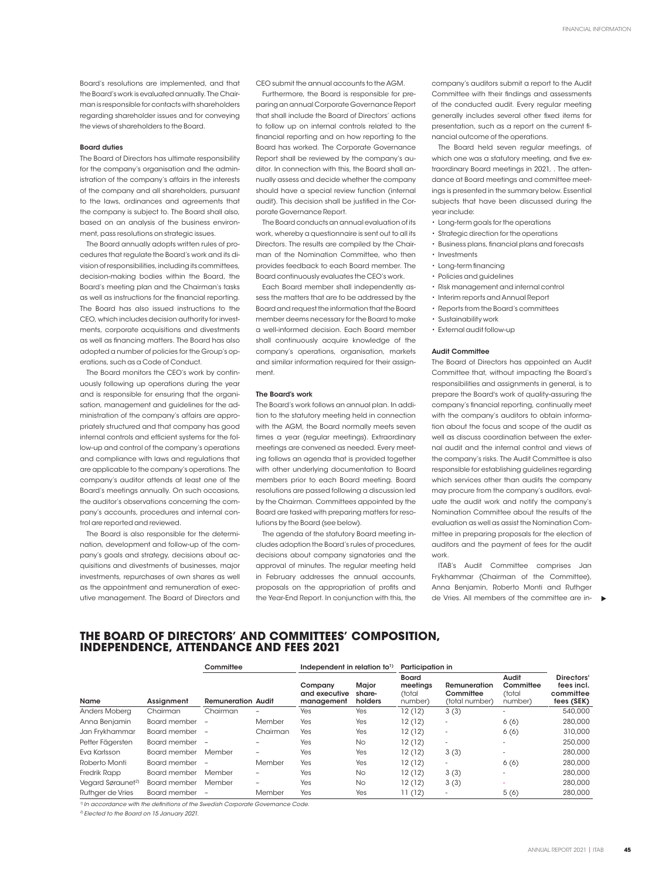Board's resolutions are implemented, and that the Board's work is evaluated annually. The Chairman is responsible for contacts with shareholders regarding shareholder issues and for conveying the views of shareholders to the Board.

# Board duties

The Board of Directors has ultimate responsibility for the company's organisation and the administration of the company's affairs in the interests of the company and all shareholders, pursuant to the laws, ordinances and agreements that the company is subject to. The Board shall also, based on an analysis of the business environment, pass resolutions on strategic issues.

The Board annually adopts written rules of procedures that regulate the Board's work and its division of responsibilities, including its committees, decision-making bodies within the Board, the Board's meeting plan and the Chairman's tasks as well as instructions for the financial reporting. The Board has also issued instructions to the CEO, which includes decision authority for investments, corporate acquisitions and divestments as well as financing matters. The Board has also adopted a number of policies for the Group's operations, such as a Code of Conduct.

The Board monitors the CEO's work by continuously following up operations during the year and is responsible for ensuring that the organisation, management and guidelines for the administration of the company's affairs are appropriately structured and that company has good internal controls and efficient systems for the follow-up and control of the company's operations and compliance with laws and regulations that are applicable to the company's operations. The company's auditor attends at least one of the Board's meetings annually. On such occasions, the auditor's observations concerning the company's accounts, procedures and internal control are reported and reviewed.

The Board is also responsible for the determination, development and follow-up of the company's goals and strategy, decisions about acquisitions and divestments of businesses, major investments, repurchases of own shares as well as the appointment and remuneration of executive management. The Board of Directors and CEO submit the annual accounts to the AGM.

Furthermore, the Board is responsible for preparing an annual Corporate Governance Report that shall include the Board of Directors' actions to follow up on internal controls related to the financial reporting and on how reporting to the Board has worked. The Corporate Governance Report shall be reviewed by the company's auditor. In connection with this, the Board shall annually assess and decide whether the company should have a special review function (internal audit). This decision shall be justified in the Corporate Governance Report.

The Board conducts an annual evaluation of its work, whereby a questionnaire is sent out to all its Directors. The results are compiled by the Chairman of the Nomination Committee, who then provides feedback to each Board member. The Board continuously evaluates the CEO's work.

Each Board member shall independently assess the matters that are to be addressed by the Board and request the information that the Board member deems necessary for the Board to make a well-informed decision. Each Board member shall continuously acquire knowledge of the company's operations, organisation, markets and similar information required for their assignment.

#### The Board's work

The Board's work follows an annual plan. In addition to the statutory meeting held in connection with the AGM, the Board normally meets seven times a year (regular meetings). Extraordinary meetings are convened as needed. Every meeting follows an agenda that is provided together with other underlying documentation to Board members prior to each Board meeting. Board resolutions are passed following a discussion led by the Chairman. Committees appointed by the Board are tasked with preparing matters for resolutions by the Board (see below).

The agenda of the statutory Board meeting includes adoption the Board's rules of procedures, decisions about company signatories and the approval of minutes. The regular meeting held in February addresses the annual accounts, proposals on the appropriation of profits and the Year-End Report. In conjunction with this, the

company's auditors submit a report to the Audit Committee with their findings and assessments of the conducted audit. Every regular meeting generally includes several other fixed items for presentation, such as a report on the current financial outcome of the operations.

The Board held seven regular meetings, of which one was a statutory meeting, and five extraordinary Board meetings in 2021, . The attendance at Board meetings and committee meetings is presented in the summary below. Essential subjects that have been discussed during the year include:

- Long-term goals for the operations
- Strategic direction for the operations
- Business plans, financial plans and forecasts
- Investments
- Long-term financing
- Policies and guidelines
- Risk management and internal control
- Interim reports and Annual Report
- Reports from the Board's committees
- Sustainability work
- External audit follow-up

## Audit Committee

The Board of Directors has appointed an Audit Committee that, without impacting the Board's responsibilities and assignments in general, is to prepare the Board's work of quality-assuring the company's financial reporting, continually meet with the company's auditors to obtain information about the focus and scope of the audit as well as discuss coordination between the external audit and the internal control and views of the company's risks. The Audit Committee is also responsible for establishing guidelines regarding which services other than audits the company may procure from the company's auditors, evaluate the audit work and notify the company's Nomination Committee about the results of the evaluation as well as assist the Nomination Committee in preparing proposals for the election of auditors and the payment of fees for the audit work.

ITAB's Audit Committee comprises Jan Frykhammar (Chairman of the Committee), Anna Benjamin, Roberto Monti and Ruthger de Vries. All members of the committee are in-

# **THE BOARD OF DIRECTORS' AND COMMITTEES' COMPOSITION, INDEPENDENCE, ATTENDANCE AND FEES 2021**

| Name                          | Assignment     | Committee                 |                          | Independent in relation to <sup>1)</sup> |                                   | Participation in                       |                                             |                                         |                                                     |
|-------------------------------|----------------|---------------------------|--------------------------|------------------------------------------|-----------------------------------|----------------------------------------|---------------------------------------------|-----------------------------------------|-----------------------------------------------------|
|                               |                | <b>Remuneration Audit</b> |                          | Company<br>and executive<br>management   | <b>Major</b><br>share-<br>holders | Board<br>meetings<br>(total<br>number) | Remuneration<br>Committee<br>(total number) | Audit<br>Committee<br>(total<br>number) | Directors'<br>fees incl.<br>committee<br>fees (SEK) |
| Anders Moberg                 | Chairman       | Chairman                  | $\overline{\phantom{0}}$ | <b>Yes</b>                               | Yes                               | 12(12)                                 | 3(3)                                        | -                                       | 540,000                                             |
| Anna Benjamin                 | Board member   | $\overline{\phantom{a}}$  | Member                   | Yes                                      | Yes                               | 12(12)                                 | $\overline{\phantom{a}}$                    | 6(6)                                    | 280,000                                             |
| Jan Frykhammar                | Board member   | $\sim$                    | Chairman                 | Yes                                      | Yes                               | 12(12)                                 | ٠                                           | 6(6)                                    | 310,000                                             |
| Petter Fägersten              | Board member - |                           |                          | Yes                                      | <b>No</b>                         | 12(12)                                 | ٠                                           |                                         | 250,000                                             |
| Eva Karlsson                  | Board member   | Member                    |                          | Yes                                      | Yes                               | 12(12)                                 | 3(3)                                        | ٠                                       | 280,000                                             |
| Roberto Monti                 | Board member   | $\overline{\phantom{a}}$  | Member                   | Yes                                      | Yes                               | 12(12)                                 | $\overline{\phantom{a}}$                    | 6(6)                                    | 280,000                                             |
| <b>Fredrik Rapp</b>           | Board member   | Member                    | -                        | Yes                                      | <b>No</b>                         | 12(12)                                 | 3(3)                                        | $\overline{\phantom{a}}$                | 280,000                                             |
| Vegard Søraunet <sup>2)</sup> | Board member   | Member                    | -                        | Yes                                      | <b>No</b>                         | 12(12)                                 | 3(3)                                        | ۰                                       | 280,000                                             |
| Ruthger de Vries              | Board member   | $\overline{\phantom{a}}$  | Member                   | Yes                                      | Yes                               | 11(12)                                 | ٠                                           | 5(6)                                    | 280,000                                             |

*1) In accordance with the definitions of the Swedish Corporate Governance Code.*

*2) Elected to the Board on 15 January 2021.*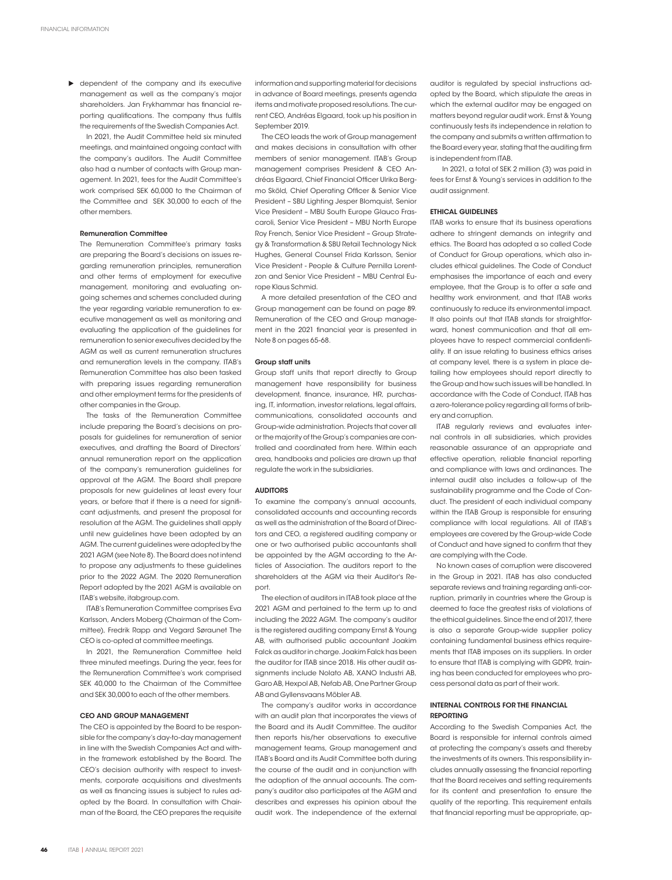**D** dependent of the company and its executive management as well as the company's major shareholders. Jan Frykhammar has financial reporting qualifications. The company thus fulfils the requirements of the Swedish Companies Act.

In 2021, the Audit Committee held six minuted meetings, and maintained ongoing contact with the company's auditors. The Audit Committee also had a number of contacts with Group management. In 2021, fees for the Audit Committee's work comprised SEK 60,000 to the Chairman of the Committee and SEK 30,000 to each of the other members.

## Remuneration Committee

The Remuneration Committee's primary tasks are preparing the Board's decisions on issues regarding remuneration principles, remuneration and other terms of employment for executive management, monitoring and evaluating ongoing schemes and schemes concluded during the year regarding variable remuneration to executive management as well as monitoring and evaluating the application of the guidelines for remuneration to senior executives decided by the AGM as well as current remuneration structures and remuneration levels in the company. ITAB's Remuneration Committee has also been tasked with preparing issues regarding remuneration and other employment terms for the presidents of other companies in the Group.

The tasks of the Remuneration Committee include preparing the Board's decisions on proposals for guidelines for remuneration of senior executives, and drafting the Board of Directors' annual remuneration report on the application of the company's remuneration guidelines for approval at the AGM. The Board shall prepare proposals for new guidelines at least every four years, or before that if there is a need for significant adjustments, and present the proposal for resolution at the AGM. The guidelines shall apply until new guidelines have been adopted by an AGM. The current guidelines were adopted by the 2021 AGM (see Note 8). The Board does not intend to propose any adjustments to these guidelines prior to the 2022 AGM. The 2020 Remuneration Report adopted by the 2021 AGM is available on ITAB's website, itabgroup.com.

ITAB's Remuneration Committee comprises Eva Karlsson, Anders Moberg (Chairman of the Committee), Fredrik Rapp and Vegard Søraunet The CEO is co-opted at committee meetings.

In 2021, the Remuneration Committee held three minuted meetings. During the year, fees for the Remuneration Committee's work comprised SEK 40,000 to the Chairman of the Committee and SEK 30,000 to each of the other members.

# CEO AND GROUP MANAGEMENT

The CEO is appointed by the Board to be responsible for the company's day-to-day management in line with the Swedish Companies Act and within the framework established by the Board. The CEO's decision authority with respect to investments, corporate acquisitions and divestments as well as financing issues is subject to rules adopted by the Board. In consultation with Chairman of the Board, the CEO prepares the requisite

information and supporting material for decisions in advance of Board meetings, presents agenda items and motivate proposed resolutions. The current CEO, Andréas Elgaard, took up his position in September 2019.

The CEO leads the work of Group management and makes decisions in consultation with other members of senior management. ITAB's Group management comprises President & CEO Andréas Elgaard, Chief Financial Officer Ulrika Bergmo Sköld, Chief Operating Officer & Senior Vice President – SBU Lighting Jesper Blomquist, Senior Vice President – MBU South Europe Glauco Frascaroli, Senior Vice President – MBU North Europe Roy French, Senior Vice President – Group Strategy & Transformation & SBU Retail Technology Nick Hughes, General Counsel Frida Karlsson, Senior Vice President - People & Culture Pernilla Lorentzon and Senior Vice President – MBU Central Europe Klaus Schmid.

A more detailed presentation of the CEO and Group management can be found on page 89. Remuneration of the CEO and Group management in the 2021 financial year is presented in Note 8 on pages 65-68.

## Group staff units

Group staff units that report directly to Group management have responsibility for business development, finance, insurance, HR, purchasing, IT, information, investor relations, legal affairs, communications, consolidated accounts and Group-wide administration. Projects that cover all or the majority of the Group's companies are controlled and coordinated from here. Within each area, handbooks and policies are drawn up that regulate the work in the subsidiaries.

## AUDITORS

To examine the company's annual accounts, consolidated accounts and accounting records as well as the administration of the Board of Directors and CEO, a registered auditing company or one or two authorised public accountants shall be appointed by the AGM according to the Articles of Association. The auditors report to the shareholders at the AGM via their Auditor's Report.

The election of auditors in ITAB took place at the 2021 AGM and pertained to the term up to and including the 2022 AGM. The company's auditor is the registered auditing company Ernst & Young AB, with authorised public accountant Joakim Falck as auditor in charge. Joakim Falck has been the auditor for ITAB since 2018. His other audit assignments include Nolato AB, XANO Industri AB, Garo AB, Hexpol AB, Nefab AB, One Partner Group AB and Gyllensvaans Möbler AB.

The company's auditor works in accordance with an audit plan that incorporates the views of the Board and its Audit Committee. The auditor then reports his/her observations to executive management teams, Group management and ITAB's Board and its Audit Committee both during the course of the audit and in conjunction with the adoption of the annual accounts. The company's auditor also participates at the AGM and describes and expresses his opinion about the audit work. The independence of the external

auditor is regulated by special instructions adopted by the Board, which stipulate the areas in which the external auditor may be engaged on matters beyond regular audit work. Ernst & Young continuously tests its independence in relation to the company and submits a written affirmation to the Board every year, stating that the auditing firm is independent from ITAB.

 In 2021, a total of SEK 2 million (3) was paid in fees for Ernst & Young's services in addition to the audit assignment.

## ETHICAL GUIDELINES

ITAB works to ensure that its business operations adhere to stringent demands on integrity and ethics. The Board has adopted a so called Code of Conduct for Group operations, which also includes ethical guidelines. The Code of Conduct emphasises the importance of each and every employee, that the Group is to offer a safe and healthy work environment, and that ITAB works continuously to reduce its environmental impact. It also points out that ITAB stands for straightforward, honest communication and that all employees have to respect commercial confidentiality. If an issue relating to business ethics arises at company level, there is a system in place detailing how employees should report directly to the Group and how such issues will be handled. In accordance with the Code of Conduct, ITAB has a zero-tolerance policy regarding all forms of bribery and corruption.

ITAB regularly reviews and evaluates internal controls in all subsidiaries, which provides reasonable assurance of an appropriate and effective operation, reliable financial reporting and compliance with laws and ordinances. The internal audit also includes a follow-up of the sustainability programme and the Code of Conduct. The president of each individual company within the ITAB Group is responsible for ensuring compliance with local regulations. All of ITAB's employees are covered by the Group-wide Code of Conduct and have signed to confirm that they are complying with the Code.

No known cases of corruption were discovered in the Group in 2021. ITAB has also conducted separate reviews and training regarding anti-corruption, primarily in countries where the Group is deemed to face the greatest risks of violations of the ethical guidelines. Since the end of 2017, there is also a separate Group-wide supplier policy containing fundamental business ethics requirements that ITAB imposes on its suppliers. In order to ensure that ITAB is complying with GDPR, training has been conducted for employees who process personal data as part of their work.

# INTERNAL CONTROLS FOR THE FINANCIAL REPORTING

According to the Swedish Companies Act, the Board is responsible for internal controls aimed at protecting the company's assets and thereby the investments of its owners. This responsibility includes annually assessing the financial reporting that the Board receives and setting requirements for its content and presentation to ensure the quality of the reporting. This requirement entails that financial reporting must be appropriate, ap